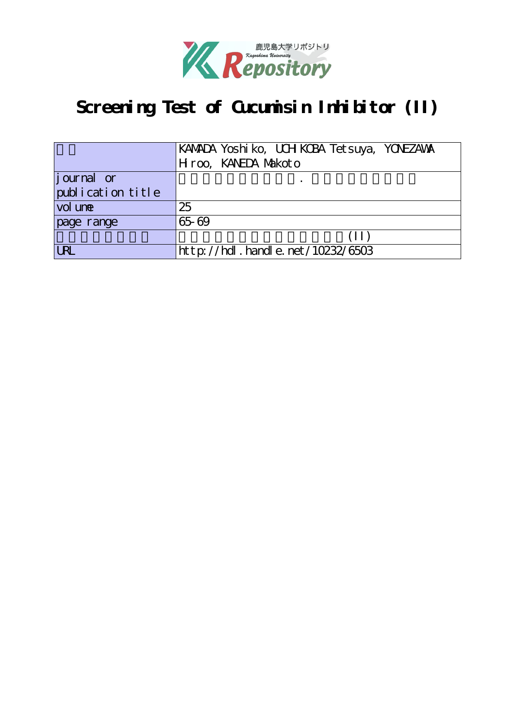

# Screening Test of Cucumisin Inhibitor (II)

|                   | KAMADA Yoshi ko, UCH KCBA Tetsuya, YONEZAWA |
|-------------------|---------------------------------------------|
|                   | Hroo, KANEDA Markoto                        |
| journal or        |                                             |
| publication title |                                             |
| vol une           | 25                                          |
| page range        | 65-69                                       |
|                   | (II)                                        |
| <b>LRL</b>        | http://hdl.handle.net/10232/6503            |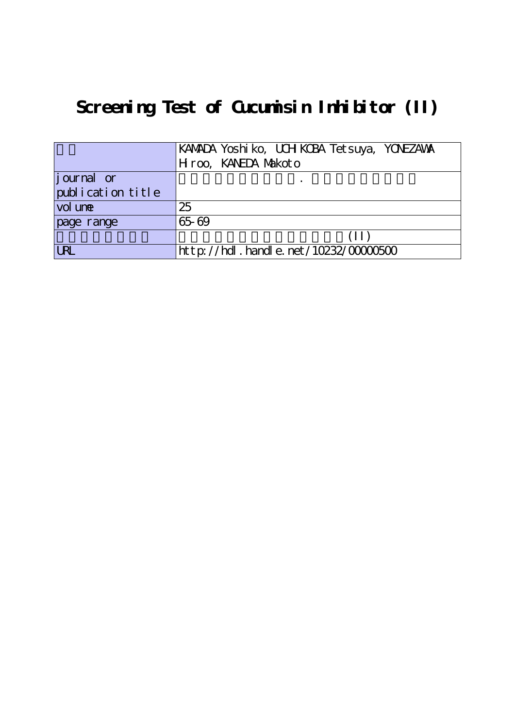# Screening Test of Cucumisin Inhibitor (II)

|                   | KAMADA Yoshi ko, UCH KCBA Tetsuya, YONEZAWA |
|-------------------|---------------------------------------------|
|                   | Hroo, KANEDA Makoto                         |
| journal or        |                                             |
| publication title |                                             |
| vol une           | 25                                          |
| page range        | 65-69                                       |
|                   | (II)                                        |
| <b>URL</b>        | http://hdl. handle. net/10232/0000500       |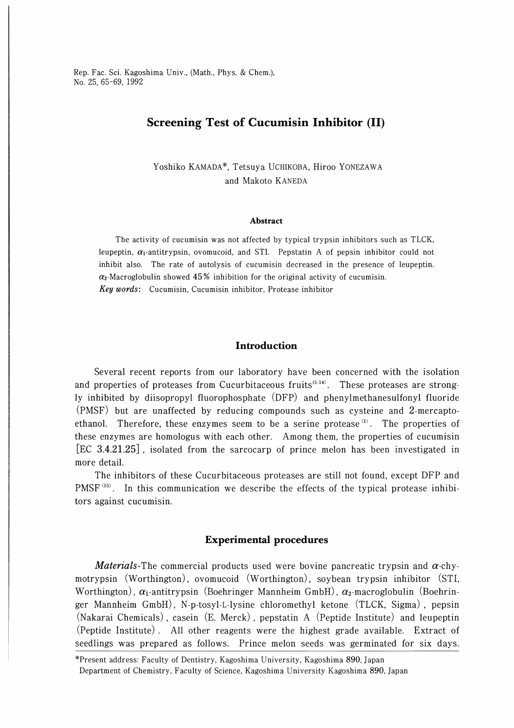Rep. Fac. Sci. Kagoshima Univ., (Math., Phys. & Chem.), No. 25, 65-69, 1992

## Screening Test of Cucumisin Inhibitor (II)

Yoshiko KAMADA\*, Tetsuya UCHIKOBA, Hiroo YONEZAWA and Makoto KANEDA

#### Abstract

The activity of cucumisin was not affected by typical trypsin inhibitors such as TLCK, leupeptin,  $\alpha_1$ -antitrypsin, ovomucoid, and STI. Pepstatin A of pepsin inhibitor could not inhibit also. The rate of autolysis of cucumisin decreased in the presence of leupeptin.  $\alpha_2$ -Macroglobulin showed 45% inhibition for the original activity of cucumisin. Key words: Cucumisin, Cucumisin inhibitor, Protease inhibitor

### **Introduction**

Several recent reports from our laboratory have been concerned with the isolation and properties of proteases from Cucurbitaceous fruits $(1.14)$ . These proteases are strongly inhibited by diisopropyl fluorophosphate (DFP) and phenylmethanesulfonyl fluoride (PMSF) but are unaffected by reducing compounds such as cysteine and 2-mercaptoethanol. Therefore, these enzymes seem to be a serine protease  $(1)$ . The properties of these enzymes are homologus with each other. Among them, the properties of cucumisin [EC 3.4.21.25] , isolated from the sarcocarp of prince melon has been investigated in more detail.

The inhibitors of these Cucurbitaceous proteases are still not found, except DFP and PMSF $(15)$ . In this communication we describe the effects of the typical protease inhibitors against cucumisin.

#### Experimental procedures

*Materials*-The commercial products used were bovine pancreatic trypsin and  $\alpha$ -chymotrypsin (Worthington), ovomucoid (Worthington), soybean trypsin inhibitor (STI, Worthington),  $\alpha_1$ -antitrypsin (Boehringer Mannheim GmbH),  $\alpha_2$ -macroglobulin (Boehringer Mannheim GmbH), N-p-tosyl-L-lysine chloromethyl ketone (TLCK, Sigma), pepsin (Nakarai Chemicals) , casein (E. Merck) , pepstatin A (Peptide Institute) and leupeptin (Peptide Institute). All other reagents were the highest grade available. Extract of seedlings was prepared as follows. Prince melon seeds was germinated for six days.

<sup>^</sup>Present address: Faculty of Dentistry, Kagoshima University, Kagoshima 890, Japan Department of Chemistry, Faculty of Science, Kagoshima University Kagoshima 890, Japan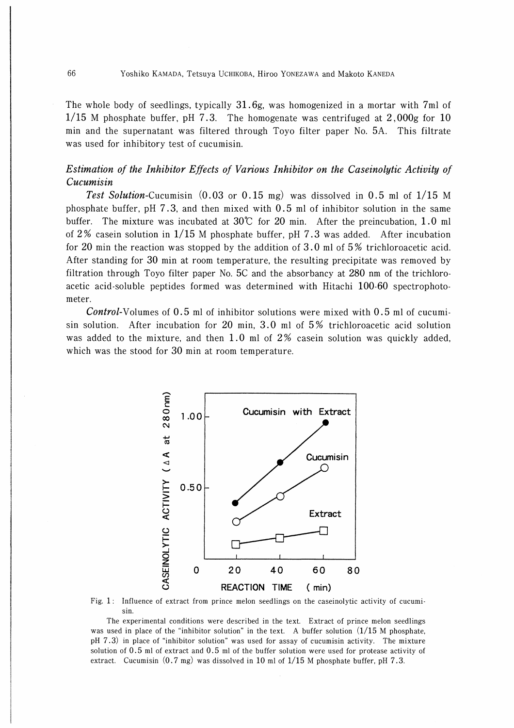The whole body of seedlings, typically 31.6g, was homogenized in a mortar with 7ml of 1/15 M phosphate buffer, pH 7.3. The homogenate was centrifuged at  $2,000g$  for 10 min and the supernatant was filtered through Toyo filter paper No. 5A. This filtrate was used for inhibitory test of cucumisin.

## Estimation of the Inhibitor Effects of Various Inhibitor on the Caseinolytic Activity of Cucumisin

Test Solution-Cucumisin  $(0.03 \text{ or } 0.15 \text{ mg})$  was dissolved in 0.5 ml of  $1/15$  M phosphate buffer, pH 7.3, and then mixed with  $0.5$  ml of inhibitor solution in the same buffer. The mixture was incubated at  $30^{\circ}$  for 20 min. After the preincubation, 1.0 ml of 2% casein solution in  $1/15$  M phosphate buffer, pH 7.3 was added. After incubation for 20 min the reaction was stopped by the addition of  $3.0$  ml of  $5\%$  trichloroacetic acid. After standing for 30 min at room temperature, the resulting precipitate was removed by filtration through Toyo filter paper No.  $5C$  and the absorbancy at  $280$  nm of the trichloroacetic acid-soluble peptides formed was determined with Hitachi 100-60 spectrophotometer.

**Control-Volumes of 0.5 ml of inhibitor solutions were mixed with 0.5 ml of cucumi**sin solution. After incubation for 20 min, 3.0 ml of  $5%$  trichloroacetic acid solution was added to the mixture, and then 1.0 ml of  $2\%$  casein solution was quickly added, which was the stood for 30 min at room temperature.



Fig. 1: Influence of extract from prince melon seedlings on the caseinolytic activity of cucumisin.

The experimental conditions were described in the text. Extract of prince melon seedlings was used in place of the "inhibitor solution" in the text. A buffer solution  $(1/15 M)$  phosphate, pH 7.3) in place of "inhibitor solution" was used for assay of cucumisin activity. The mixture solution of 0.5 ml of extract and 0.5 ml of the buffer solution were used for protease activity of extract. Cucumisin  $(0.7 \text{ mg})$  was dissolved in 10 ml of  $1/15$  M phosphate buffer, pH 7.3.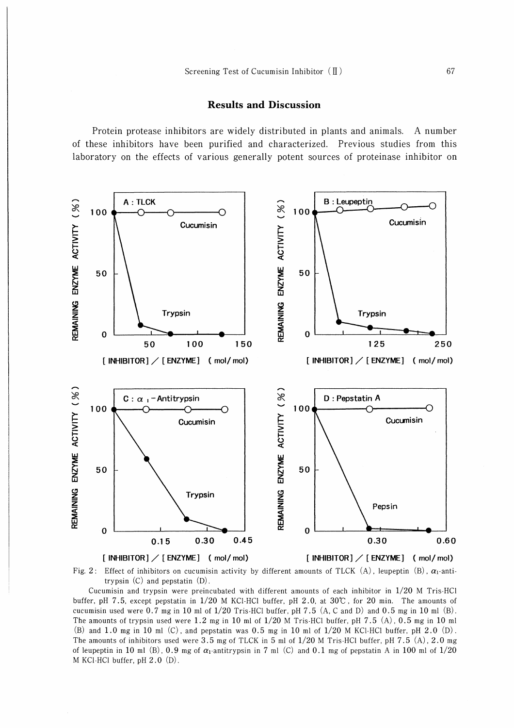### Results and Discussion

Protein protease inhibitors are widely distributed in plants and animals. A number of these inhibitors have been purified and characterized. Previous studies from this laboratory on the effects of various generally potent sources of proteinase inhibitor on



Fig. 2: Effect of inhibitors on cucumisin activity by different amounts of TLCK (A), leupeptin (B),  $\alpha_1$ -antitrypsin (C) and pepstatin (D).

Cucumisin and trypsin were preincubated with different amounts of each inhibitor in 1/20 M Tris-HCl buffer, pH 7.5, except pepstatin in 1/20 M KCl-HCl buffer, pH 2.0, at 30℃, for 20 min. The amounts of cucumisin used were 0.7 mg in 10 ml of 1/20 Tris-HCl buffer, pH 7.5 (A, C and D) and 0.5 mg in 10 ml (B). The amounts of trypsin used were 1.2 mg in 10 ml of  $1/20$  M Tris-HCl buffer, pH 7.5 (A), 0.5 mg in 10 ml (B) and 1.0 mg in 10 ml (C), and pepstatin was 0.5 mg in 10 ml of  $1/20$  M KCl-HCl buffer, pH 2.0 (D). The amounts of inhibitors used were 3.5 mg of TLCK in 5 ml of  $1/20$  M Tris-HCl buffer, pH 7.5 (A), 2.0 mg of leupeptin in 10 ml (B), 0.9 mg of  $\alpha_1$ -antitrypsin in 7 ml (C) and 0.1 mg of pepstatin A in 100 ml of 1/20 M KCl-HCl buffer, pH 2.0 (D).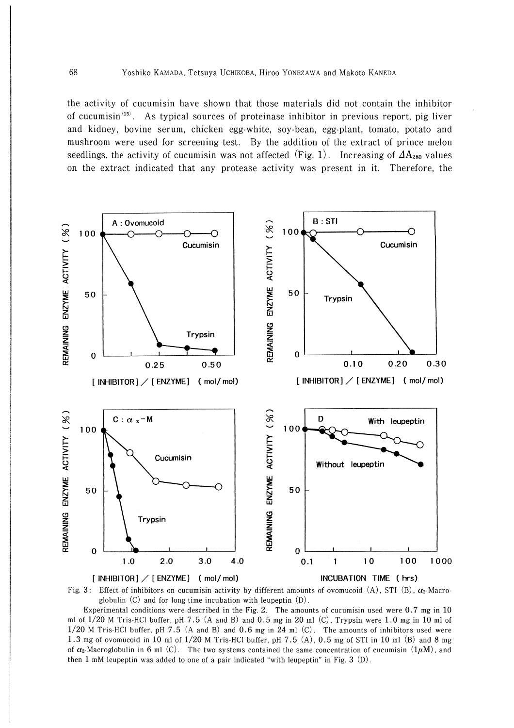the activity of cucumisin have shown that those materials did not contain the inhibitor of cucumisin<sup>(15)</sup>. As typical sources of proteinase inhibitor in previous report, pig liver and kidney, bovine serum, chicken egg・white, soy-bean, egg-plant, tomato, potato and mushroom were used for screening test. By the addition of the extract of prince melon seedlings, the activity of cucumisin was not affected (Fig. 1). Increasing of  $\Delta A_{280}$  values on the extract indicated that any protease activity was present in it. Therefore, the





Experimental conditions were described in the Fig. 2. The amounts of cucumisin used were 0.7 mg in 10 ml of  $1/20$  M Tris-HCl buffer, pH 7.5 (A and B) and 0.5 mg in 20 ml (C), Trypsin were 1.0 mg in 10 ml of 1/20 M Tris-HCl buffer, pH 7.5 (A and B) and 0.6 mg in 24 ml (C). The amounts of inhibitors used were 1.3 mg of ovomucoid in 10 ml of 1/20 M Tris-HCl buffer, pH 7.5 (A), 0.5 mg of STI in 10 ml (B) and 8 mg of  $\alpha_2$ -Macroglobulin in 6 ml (C). The two systems contained the same concentration of cucumisin  $(1\mu M)$ , and then 1 mM leupeptin was added to one of a pair indicated "with leupeptin" in Fig. 3  $(D)$ .